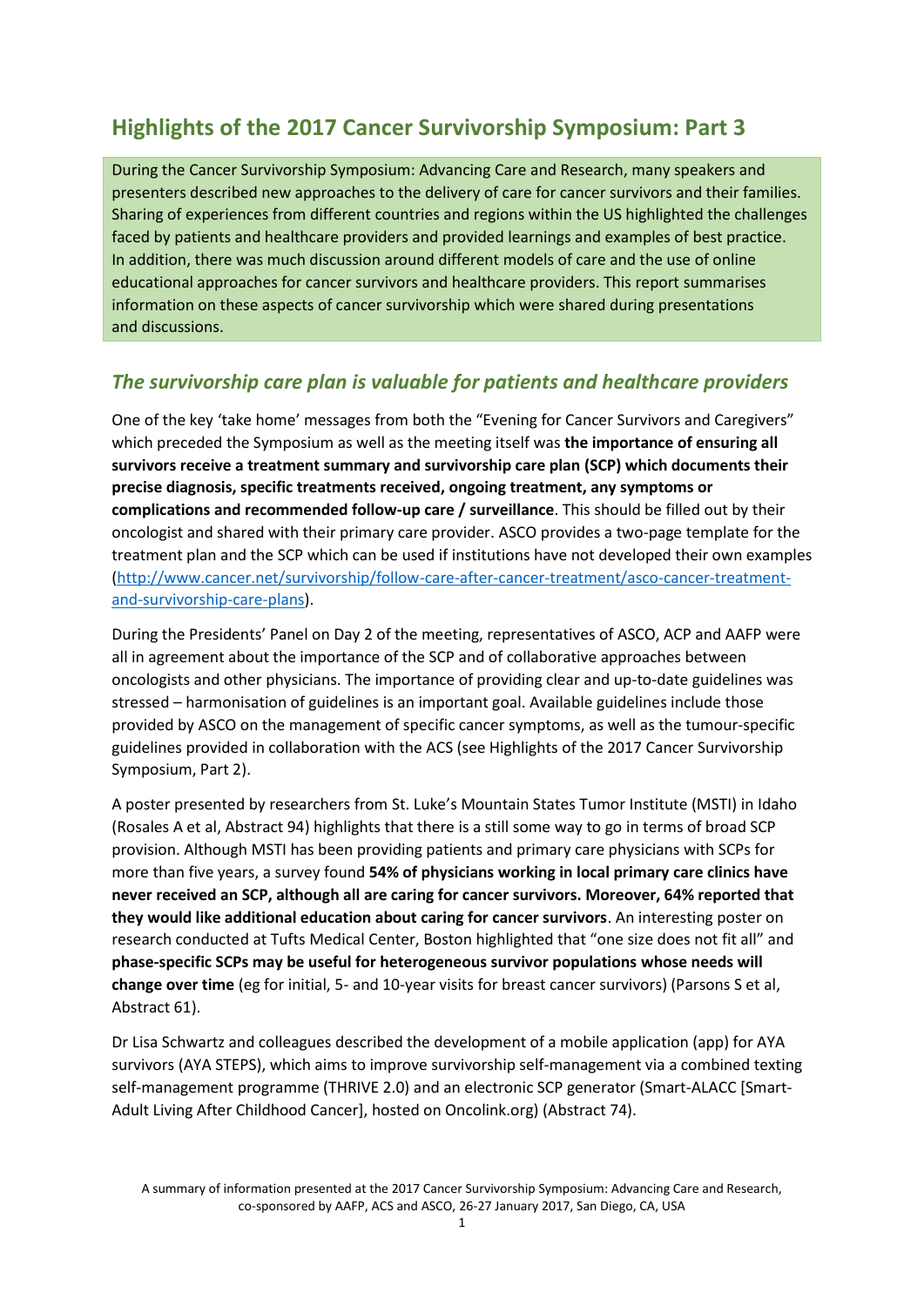# **Highlights of the 2017 Cancer Survivorship Symposium: Part 3**

During the Cancer Survivorship Symposium: Advancing Care and Research, many speakers and presenters described new approaches to the delivery of care for cancer survivors and their families. Sharing of experiences from different countries and regions within the US highlighted the challenges faced by patients and healthcare providers and provided learnings and examples of best practice. In addition, there was much discussion around different models of care and the use of online educational approaches for cancer survivors and healthcare providers. This report summarises information on these aspects of cancer survivorship which were shared during presentations and discussions.

### *The survivorship care plan is valuable for patients and healthcare providers*

One of the key 'take home' messages from both the "Evening for Cancer Survivors and Caregivers" which preceded the Symposium as well as the meeting itself was **the importance of ensuring all survivors receive a treatment summary and survivorship care plan (SCP) which documents their precise diagnosis, specific treatments received, ongoing treatment, any symptoms or complications and recommended follow-up care / surveillance**. This should be filled out by their oncologist and shared with their primary care provider. ASCO provides a two-page template for the treatment plan and the SCP which can be used if institutions have not developed their own examples [\(http://www.cancer.net/survivorship/follow-care-after-cancer-treatment/asco-cancer-treatment](http://www.cancer.net/survivorship/follow-care-after-cancer-treatment/asco-cancer-treatment-and-survivorship-care-plans)[and-survivorship-care-plans\)](http://www.cancer.net/survivorship/follow-care-after-cancer-treatment/asco-cancer-treatment-and-survivorship-care-plans).

During the Presidents' Panel on Day 2 of the meeting, representatives of ASCO, ACP and AAFP were all in agreement about the importance of the SCP and of collaborative approaches between oncologists and other physicians. The importance of providing clear and up-to-date guidelines was stressed – harmonisation of guidelines is an important goal. Available guidelines include those provided by ASCO on the management of specific cancer symptoms, as well as the tumour-specific guidelines provided in collaboration with the ACS (see Highlights of the 2017 Cancer Survivorship Symposium, Part 2).

A poster presented by researchers from St. Luke's Mountain States Tumor Institute (MSTI) in Idaho (Rosales A et al, Abstract 94) highlights that there is a still some way to go in terms of broad SCP provision. Although MSTI has been providing patients and primary care physicians with SCPs for more than five years, a survey found **54% of physicians working in local primary care clinics have never received an SCP, although all are caring for cancer survivors. Moreover, 64% reported that they would like additional education about caring for cancer survivors**. An interesting poster on research conducted at Tufts Medical Center, Boston highlighted that "one size does not fit all" and **phase-specific SCPs may be useful for heterogeneous survivor populations whose needs will change over time** (eg for initial, 5- and 10-year visits for breast cancer survivors) (Parsons S et al, Abstract 61).

Dr Lisa Schwartz and colleagues described the development of a mobile application (app) for AYA survivors (AYA STEPS), which aims to improve survivorship self-management via a combined texting self-management programme (THRIVE 2.0) and an electronic SCP generator (Smart-ALACC [Smart-Adult Living After Childhood Cancer], hosted on Oncolink.org) (Abstract 74).

A summary of information presented at the 2017 Cancer Survivorship Symposium: Advancing Care and Research, co-sponsored by AAFP, ACS and ASCO, 26-27 January 2017, San Diego, CA, USA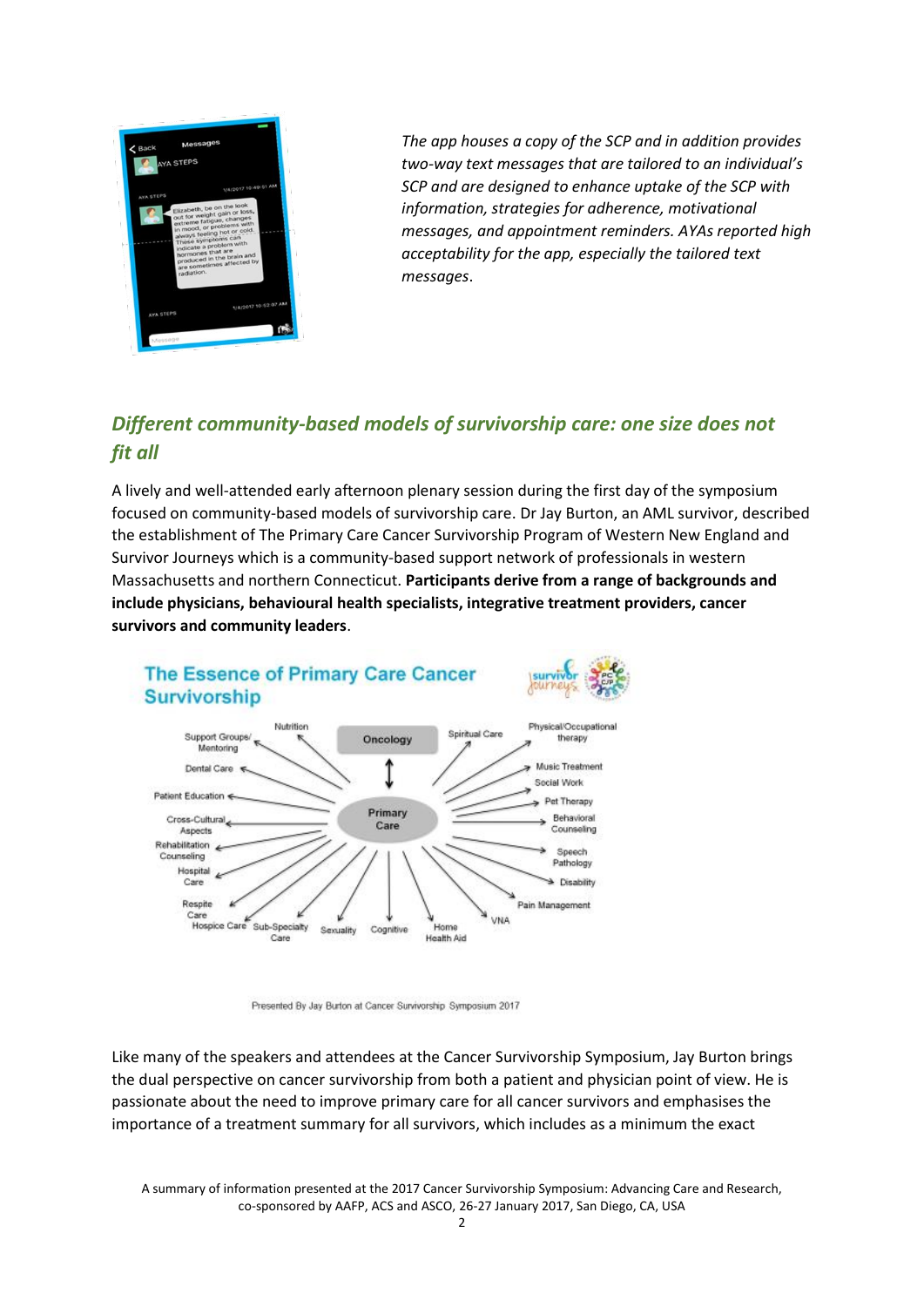

*The app houses a copy of the SCP and in addition provides two-way text messages that are tailored to an individual's SCP and are designed to enhance uptake of the SCP with information, strategies for adherence, motivational messages, and appointment reminders. AYAs reported high acceptability for the app, especially the tailored text messages*.

# *Different community-based models of survivorship care: one size does not fit all*

A lively and well-attended early afternoon plenary session during the first day of the symposium focused on community-based models of survivorship care. Dr Jay Burton, an AML survivor, described the establishment of The Primary Care Cancer Survivorship Program of Western New England and Survivor Journeys which is a community-based support network of professionals in western Massachusetts and northern Connecticut. **Participants derive from a range of backgrounds and include physicians, behavioural health specialists, integrative treatment providers, cancer survivors and community leaders**.



Presented By Jay Burton at Cancer Survivorship Symposium 2017

Like many of the speakers and attendees at the Cancer Survivorship Symposium, Jay Burton brings the dual perspective on cancer survivorship from both a patient and physician point of view. He is passionate about the need to improve primary care for all cancer survivors and emphasises the importance of a treatment summary for all survivors, which includes as a minimum the exact

A summary of information presented at the 2017 Cancer Survivorship Symposium: Advancing Care and Research, co-sponsored by AAFP, ACS and ASCO, 26-27 January 2017, San Diego, CA, USA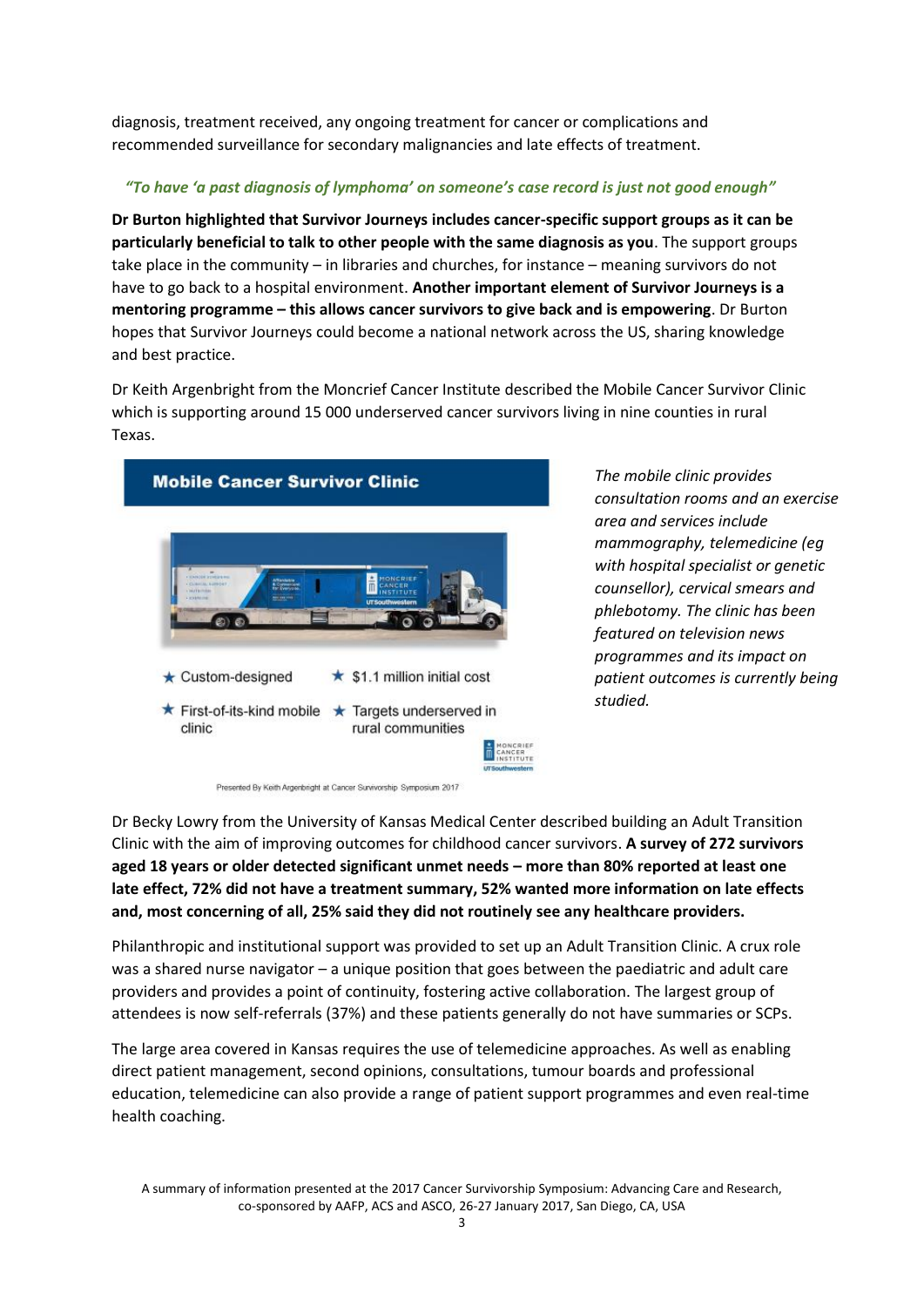diagnosis, treatment received, any ongoing treatment for cancer or complications and recommended surveillance for secondary malignancies and late effects of treatment.

### *"To have 'a past diagnosis of lymphoma' on someone's case record is just not good enough"*

**Dr Burton highlighted that Survivor Journeys includes cancer-specific support groups as it can be particularly beneficial to talk to other people with the same diagnosis as you**. The support groups take place in the community – in libraries and churches, for instance – meaning survivors do not have to go back to a hospital environment. **Another important element of Survivor Journeys is a mentoring programme – this allows cancer survivors to give back and is empowering**. Dr Burton hopes that Survivor Journeys could become a national network across the US, sharing knowledge and best practice.

Dr Keith Argenbright from the Moncrief Cancer Institute described the Mobile Cancer Survivor Clinic which is supporting around 15 000 underserved cancer survivors living in nine counties in rural Texas.



Presented By Keith Argenbright at Cancer Survivorship Symposium 2017

*The mobile clinic provides consultation rooms and an exercise area and services include mammography, telemedicine (eg with hospital specialist or genetic counsellor), cervical smears and phlebotomy. The clinic has been featured on television news programmes and its impact on patient outcomes is currently being studied.*

Dr Becky Lowry from the University of Kansas Medical Center described building an Adult Transition Clinic with the aim of improving outcomes for childhood cancer survivors. **A survey of 272 survivors aged 18 years or older detected significant unmet needs – more than 80% reported at least one late effect, 72% did not have a treatment summary, 52% wanted more information on late effects and, most concerning of all, 25% said they did not routinely see any healthcare providers.**

Philanthropic and institutional support was provided to set up an Adult Transition Clinic. A crux role was a shared nurse navigator – a unique position that goes between the paediatric and adult care providers and provides a point of continuity, fostering active collaboration. The largest group of attendees is now self-referrals (37%) and these patients generally do not have summaries or SCPs.

The large area covered in Kansas requires the use of telemedicine approaches. As well as enabling direct patient management, second opinions, consultations, tumour boards and professional education, telemedicine can also provide a range of patient support programmes and even real-time health coaching.

A summary of information presented at the 2017 Cancer Survivorship Symposium: Advancing Care and Research, co-sponsored by AAFP, ACS and ASCO, 26-27 January 2017, San Diego, CA, USA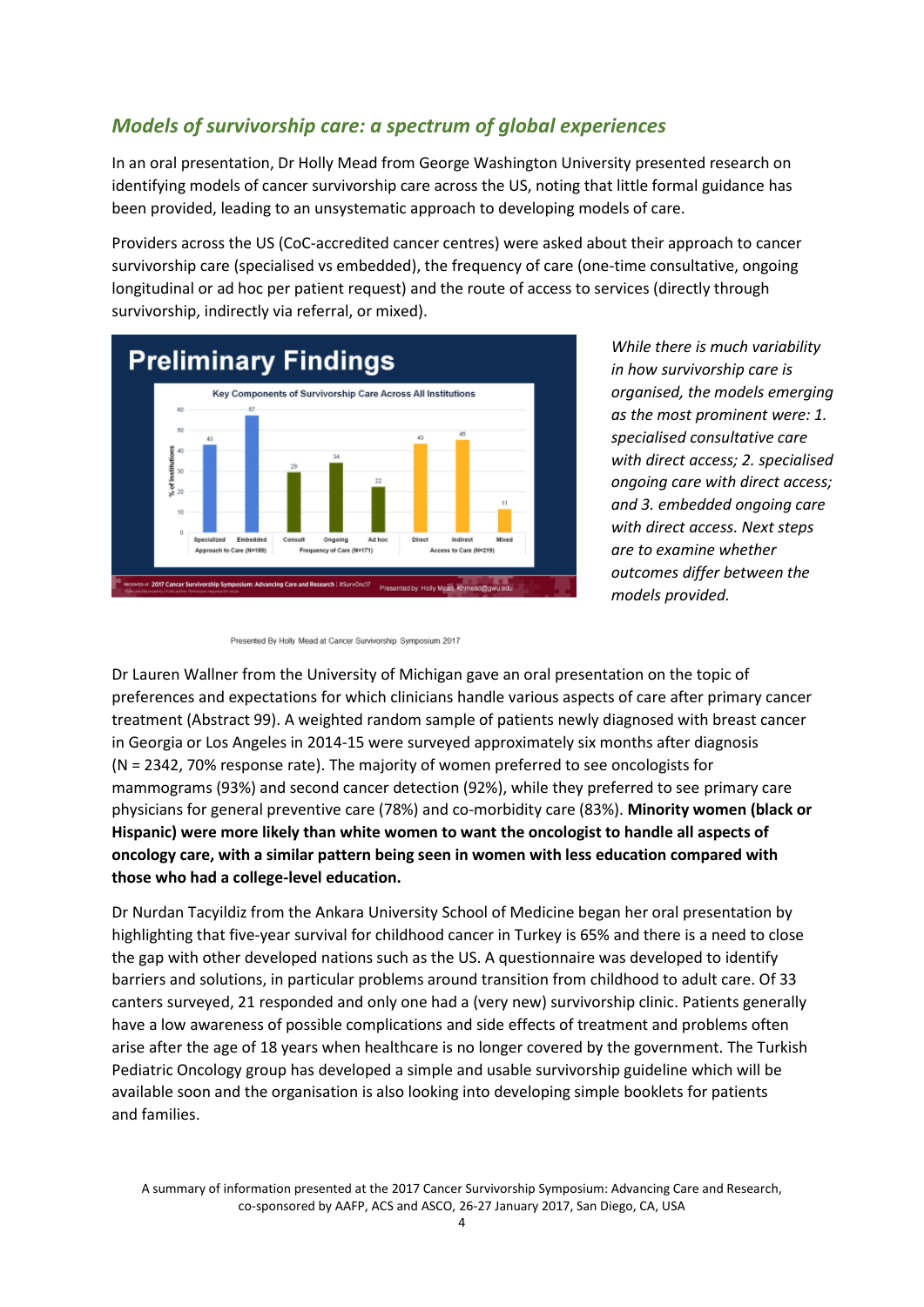## *Models of survivorship care: a spectrum of global experiences*

In an oral presentation, Dr Holly Mead from George Washington University presented research on identifying models of cancer survivorship care across the US, noting that little formal guidance has been provided, leading to an unsystematic approach to developing models of care.

Providers across the US (CoC-accredited cancer centres) were asked about their approach to cancer survivorship care (specialised vs embedded), the frequency of care (one-time consultative, ongoing longitudinal or ad hoc per patient request) and the route of access to services (directly through survivorship, indirectly via referral, or mixed).



*While there is much variability in how survivorship care is organised, the models emerging as the most prominent were: 1. specialised consultative care with direct access; 2. specialised ongoing care with direct access; and 3. embedded ongoing care with direct access. Next steps are to examine whether outcomes differ between the models provided.*

Dr Lauren Wallner from the University of Michigan gave an oral presentation on the topic of preferences and expectations for which clinicians handle various aspects of care after primary cancer treatment (Abstract 99). A weighted random sample of patients newly diagnosed with breast cancer in Georgia or Los Angeles in 2014-15 were surveyed approximately six months after diagnosis (N = 2342, 70% response rate). The majority of women preferred to see oncologists for mammograms (93%) and second cancer detection (92%), while they preferred to see primary care physicians for general preventive care (78%) and co-morbidity care (83%). **Minority women (black or Hispanic) were more likely than white women to want the oncologist to handle all aspects of oncology care, with a similar pattern being seen in women with less education compared with those who had a college-level education.**

Dr Nurdan Tacyildiz from the Ankara University School of Medicine began her oral presentation by highlighting that five-year survival for childhood cancer in Turkey is 65% and there is a need to close the gap with other developed nations such as the US. A questionnaire was developed to identify barriers and solutions, in particular problems around transition from childhood to adult care. Of 33 canters surveyed, 21 responded and only one had a (very new) survivorship clinic. Patients generally have a low awareness of possible complications and side effects of treatment and problems often arise after the age of 18 years when healthcare is no longer covered by the government. The Turkish Pediatric Oncology group has developed a simple and usable survivorship guideline which will be available soon and the organisation is also looking into developing simple booklets for patients and families.

Presented By Holly Mead at Cancer Survivorship Symposium 2017

A summary of information presented at the 2017 Cancer Survivorship Symposium: Advancing Care and Research, co-sponsored by AAFP, ACS and ASCO, 26-27 January 2017, San Diego, CA, USA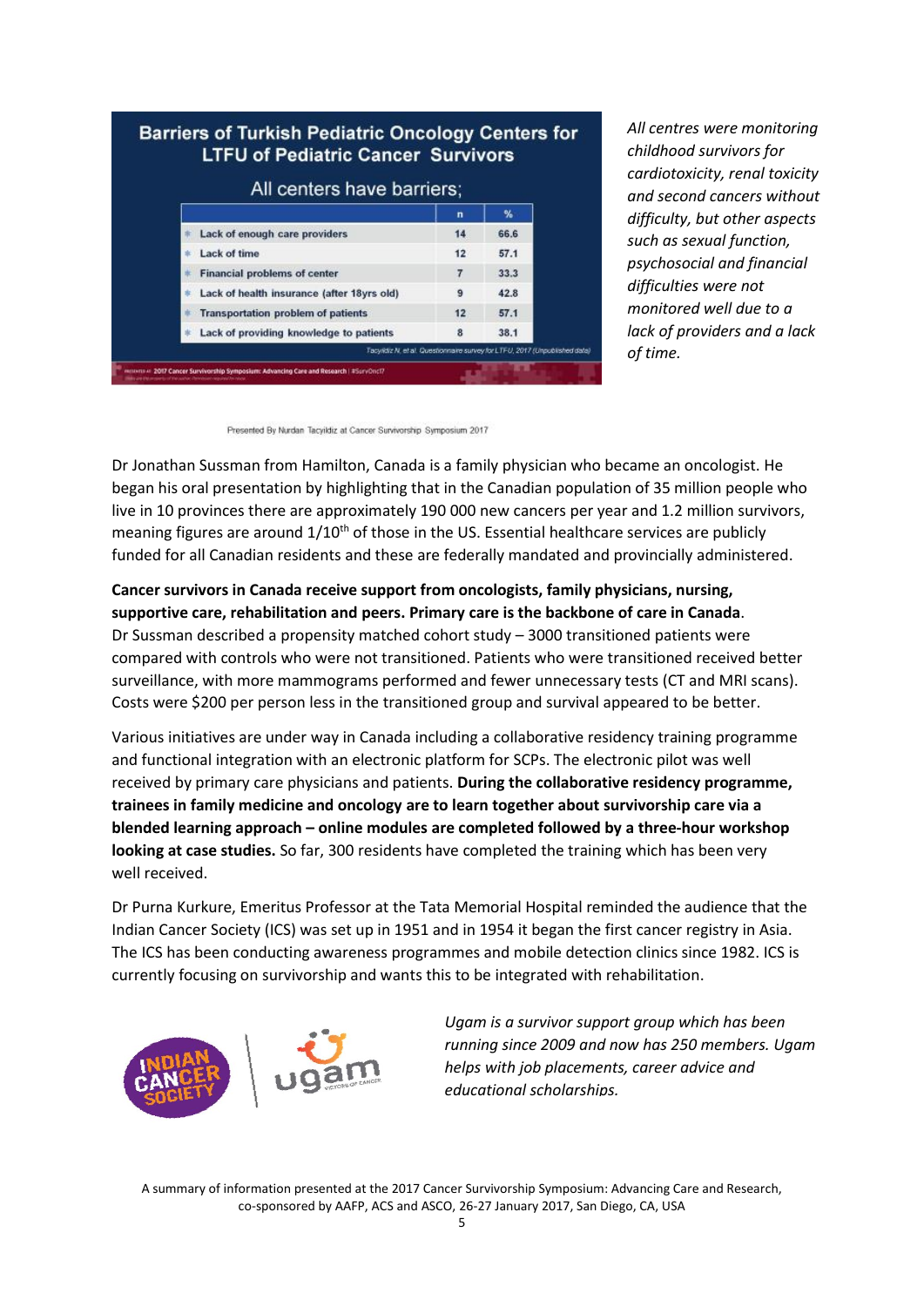|  | All centers have barriers;                 |    |      |
|--|--------------------------------------------|----|------|
|  |                                            | n  | %    |
|  | Lack of enough care providers              | 14 | 66.6 |
|  | Lack of time                               | 12 | 57.1 |
|  | <b>Financial problems of center</b>        | 7  | 33.3 |
|  | Lack of health insurance (after 18yrs old) | 9  | 42.8 |
|  | <b>Transportation problem of patients</b>  | 12 | 57.1 |
|  | Lack of providing knowledge to patients    | 8  | 38.1 |

*All centres were monitoring childhood survivors for cardiotoxicity, renal toxicity and second cancers without difficulty, but other aspects such as sexual function, psychosocial and financial difficulties were not monitored well due to a lack of providers and a lack of time.*

Presented By Nurdan Tacyildiz at Cancer Survivorship Symposium 2017

Dr Jonathan Sussman from Hamilton, Canada is a family physician who became an oncologist. He began his oral presentation by highlighting that in the Canadian population of 35 million people who live in 10 provinces there are approximately 190 000 new cancers per year and 1.2 million survivors, meaning figures are around 1/10<sup>th</sup> of those in the US. Essential healthcare services are publicly funded for all Canadian residents and these are federally mandated and provincially administered.

### **Cancer survivors in Canada receive support from oncologists, family physicians, nursing, supportive care, rehabilitation and peers. Primary care is the backbone of care in Canada**.

Dr Sussman described a propensity matched cohort study – 3000 transitioned patients were compared with controls who were not transitioned. Patients who were transitioned received better surveillance, with more mammograms performed and fewer unnecessary tests (CT and MRI scans). Costs were \$200 per person less in the transitioned group and survival appeared to be better.

Various initiatives are under way in Canada including a collaborative residency training programme and functional integration with an electronic platform for SCPs. The electronic pilot was well received by primary care physicians and patients. **During the collaborative residency programme, trainees in family medicine and oncology are to learn together about survivorship care via a blended learning approach – online modules are completed followed by a three-hour workshop looking at case studies.** So far, 300 residents have completed the training which has been very well received.

Dr Purna Kurkure, Emeritus Professor at the Tata Memorial Hospital reminded the audience that the Indian Cancer Society (ICS) was set up in 1951 and in 1954 it began the first cancer registry in Asia. The ICS has been conducting awareness programmes and mobile detection clinics since 1982. ICS is currently focusing on survivorship and wants this to be integrated with rehabilitation.



*Ugam is a survivor support group which has been running since 2009 and now has 250 members. Ugam helps with job placements, career advice and educational scholarships.*

A summary of information presented at the 2017 Cancer Survivorship Symposium: Advancing Care and Research, co-sponsored by AAFP, ACS and ASCO, 26-27 January 2017, San Diego, CA, USA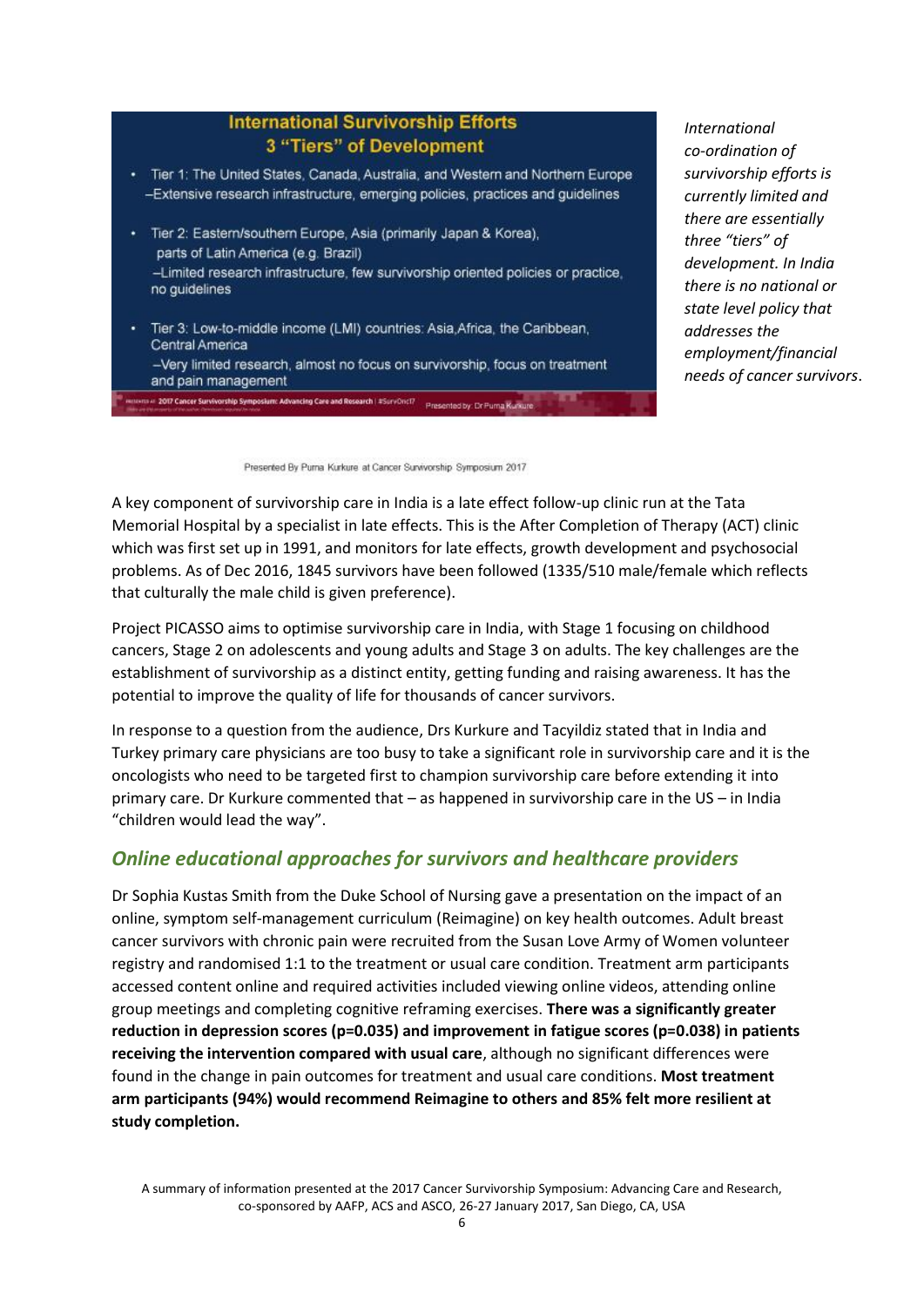### **International Survivorship Efforts** 3 "Tiers" of Development

- Tier 1: The United States, Canada, Australia, and Western and Northern Europe -Extensive research infrastructure, emerging policies, practices and guidelines
- · Tier 2: Eastern/southern Europe, Asia (primarily Japan & Korea), parts of Latin America (e.g. Brazil) -Limited research infrastructure, few survivorship oriented policies or practice, no guidelines

Tier 3: Low-to-middle income (LMI) countries: Asia, Africa, the Caribbean, Central America -Very limited research, almost no focus on survivorship, focus on treatment and pain management

2007 Cancer Survivorship Symposium: Advancing Care and Research | #SurvOnci7 | Presented by: Dr Purna Kurkur

*International co-ordination of survivorship efforts is currently limited and there are essentially three "tiers" of development. In India there is no national or state level policy that addresses the employment/financial needs of cancer survivors*.

Presented By Purna Kurkure at Cancer Survivorship Symposium 2017

A key component of survivorship care in India is a late effect follow-up clinic run at the Tata Memorial Hospital by a specialist in late effects. This is the After Completion of Therapy (ACT) clinic which was first set up in 1991, and monitors for late effects, growth development and psychosocial problems. As of Dec 2016, 1845 survivors have been followed (1335/510 male/female which reflects that culturally the male child is given preference).

Project PICASSO aims to optimise survivorship care in India, with Stage 1 focusing on childhood cancers, Stage 2 on adolescents and young adults and Stage 3 on adults. The key challenges are the establishment of survivorship as a distinct entity, getting funding and raising awareness. It has the potential to improve the quality of life for thousands of cancer survivors.

In response to a question from the audience, Drs Kurkure and Tacyildiz stated that in India and Turkey primary care physicians are too busy to take a significant role in survivorship care and it is the oncologists who need to be targeted first to champion survivorship care before extending it into primary care. Dr Kurkure commented that – as happened in survivorship care in the US – in India "children would lead the way".

## *Online educational approaches for survivors and healthcare providers*

Dr Sophia Kustas Smith from the Duke School of Nursing gave a presentation on the impact of an online, symptom self-management curriculum (Reimagine) on key health outcomes. Adult breast cancer survivors with chronic pain were recruited from the Susan Love Army of Women volunteer registry and randomised 1:1 to the treatment or usual care condition. Treatment arm participants accessed content online and required activities included viewing online videos, attending online group meetings and completing cognitive reframing exercises. **There was a significantly greater reduction in depression scores (p=0.035) and improvement in fatigue scores (p=0.038) in patients receiving the intervention compared with usual care**, although no significant differences were found in the change in pain outcomes for treatment and usual care conditions. **Most treatment arm participants (94%) would recommend Reimagine to others and 85% felt more resilient at study completion.**

A summary of information presented at the 2017 Cancer Survivorship Symposium: Advancing Care and Research, co-sponsored by AAFP, ACS and ASCO, 26-27 January 2017, San Diego, CA, USA